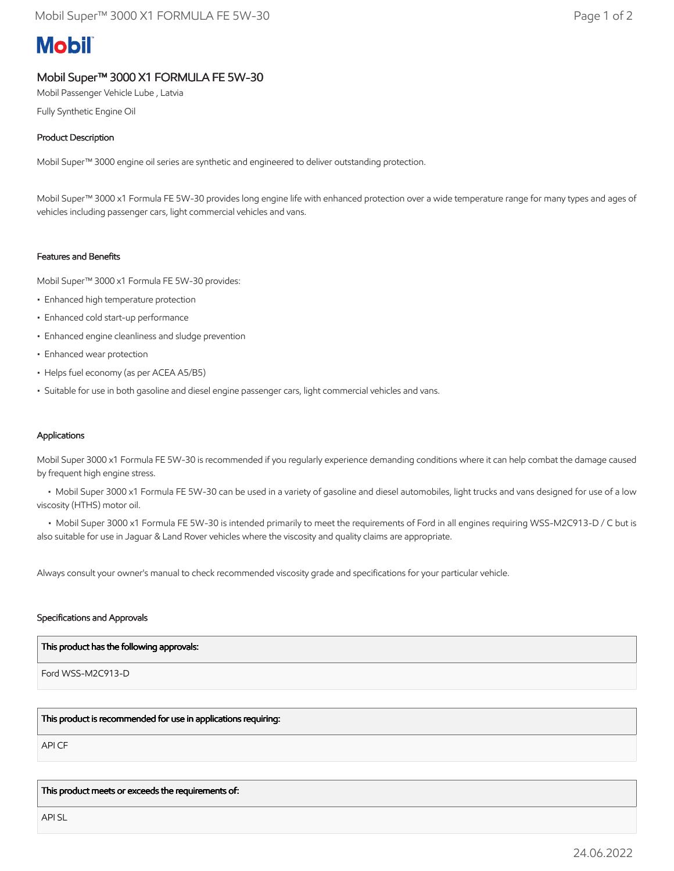# **Mobil**

## Mobil Super™ 3000 X1 FORMULA FE 5W-30

Mobil Passenger Vehicle Lube , Latvia

Fully Synthetic Engine Oil

### Product Description

Mobil Super™ 3000 engine oil series are synthetic and engineered to deliver outstanding protection.

Mobil Super™ 3000 x1 Formula FE 5W-30 provides long engine life with enhanced protection over a wide temperature range for many types and ages of vehicles including passenger cars, light commercial vehicles and vans.

#### Features and Benefits

Mobil Super™ 3000 x1 Formula FE 5W-30 provides:

- Enhanced high temperature protection
- Enhanced cold start-up performance
- Enhanced engine cleanliness and sludge prevention
- Enhanced wear protection
- Helps fuel economy (as per ACEA A5/B5)
- Suitable for use in both gasoline and diesel engine passenger cars, light commercial vehicles and vans.

#### Applications

Mobil Super 3000 x1 Formula FE 5W-30 is recommended if you regularly experience demanding conditions where it can help combat the damage caused by frequent high engine stress.

 • Mobil Super 3000 x1 Formula FE 5W-30 can be used in a variety of gasoline and diesel automobiles, light trucks and vans designed for use of a low viscosity (HTHS) motor oil.

• Mobil Super 3000 x1 Formula FE 5W-30 is intended primarily to meet the requirements of Ford in all engines requiring WSS-M2C913-D / C but is also suitable for use in Jaguar & Land Rover vehicles where the viscosity and quality claims are appropriate.

Always consult your owner's manual to check recommended viscosity grade and specifications for your particular vehicle.

#### Specifications and Approvals

#### This product has the following approvals:

Ford WSS-M2C913-D

#### This product is recommended for use in applications requiring:

API CF

This product meets or exceeds the requirements of:

API SL